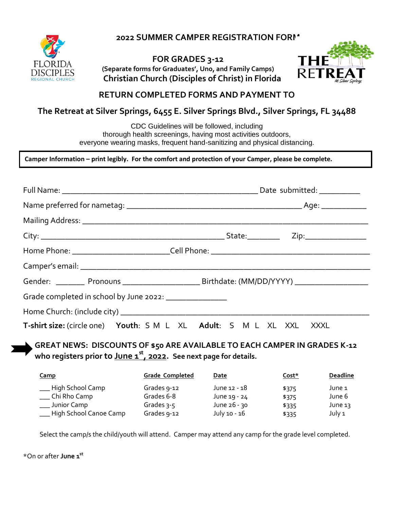DISCIPLES

**2022 SUMMER CAMPER REGISTRATION FORM** 

**FOR GRADES 3-12 (Separate forms for Graduates', Uno, and Family Camps) Christian Church (Disciples of Christ) in Florida**



# **RETURN COMPLETED FORMS AND PAYMENT TO**

# **The Retreat at Silver Springs, 6455 E. Silver Springs Blvd., Silver Springs, FL 34488**

CDC Guidelines will be followed, including thorough health screenings, having most activities outdoors, everyone wearing masks, frequent hand-sanitizing and physical distancing.

**Camper Information – print legibly. For the comfort and protection of your Camper, please be complete.**

| Grade completed in school by June 2022: _______________             |  |
|---------------------------------------------------------------------|--|
|                                                                     |  |
| T-shirt size: (circle one) Youth: S M L XL Adult: S M L XL XXL XXXL |  |

**GREAT NEWS: DISCOUNTS OF \$50 ARE AVAILABLE TO EACH CAMPER IN GRADES K-12 who registers prior to June 1st , 2022. See next page for details.**

| <u>Camp</u>                                                                     | <b>Grade Completed</b>                                   | Date                                                         | Cost*                            | <b>Deadline</b>                       |
|---------------------------------------------------------------------------------|----------------------------------------------------------|--------------------------------------------------------------|----------------------------------|---------------------------------------|
| ___ High School Camp<br>_ Chi Rho Camp<br>Junior Camp<br>High School Canoe Camp | Grades 9-12<br>Grades 6-8<br>Grades $3-5$<br>Grades 9-12 | June 12 - 18<br>June 19 - 24<br>June 26 - 30<br>July 10 - 16 | \$375<br>\$375<br>\$335<br>\$335 | June 1<br>June 6<br>June 13<br>July 1 |
|                                                                                 |                                                          |                                                              |                                  |                                       |

Select the camp/s the child/youth will attend. Camper may attend any camp for the grade level completed.

\*On or after **June 1st \***On or after **June 1st**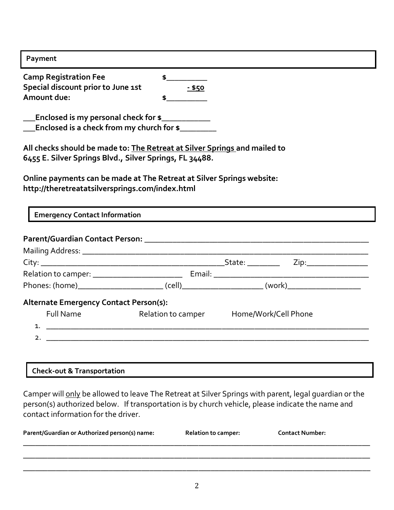| Payment                                   |               |  |
|-------------------------------------------|---------------|--|
| <b>Camp Registration Fee</b>              |               |  |
| Special discount prior to June 1st        | <u>- \$50</u> |  |
| Amount due:                               |               |  |
| _Enclosed is my personal check for \$____ |               |  |
| Enclosed is a check from my church for \$ |               |  |

**All checks should be made to: The Retreat at Silver Springs and mailed to 6455 E. Silver Springs Blvd., Silver Springs, FL 34488.**

**Online payments can be made at The Retreat at Silver Springs website: http://theretreatatsilversprings.com/index.html**

**Emergency Contact Information**

| <b>Alternate Emergency Contact Person(s):</b> |                                     |                      |
|-----------------------------------------------|-------------------------------------|----------------------|
| Full Name                                     | <b>Example 1 Relation to camper</b> | Home/Work/Cell Phone |
|                                               |                                     |                      |
|                                               |                                     |                      |
|                                               |                                     |                      |

| <b>Check-out &amp; Transportation</b> |
|---------------------------------------|
|---------------------------------------|

Camper will only be allowed to leave The Retreat at Silver Springs with parent, legal guardian or the person(s) authorized below. If transportation is by church vehicle, please indicate the name and contact information for the driver.

| Parent/Guardian or Authorized person(s) name: | <b>Relation to camper:</b> | <b>Contact Number:</b> |
|-----------------------------------------------|----------------------------|------------------------|
|                                               |                            |                        |

\_\_\_\_\_\_\_\_\_\_\_\_\_\_\_\_\_\_\_\_\_\_\_\_\_\_\_\_\_\_\_\_\_\_\_\_\_\_\_\_\_\_\_\_\_\_\_\_\_\_\_\_\_\_\_\_\_\_\_\_\_\_\_\_\_\_\_\_\_\_\_\_\_\_\_\_\_\_\_\_\_\_\_\_\_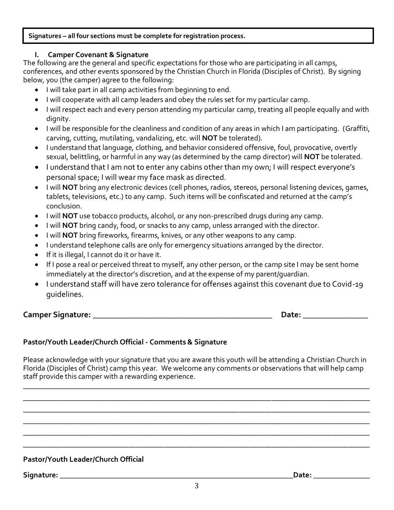#### **Signatures – all four sections must be complete for registration process.**

## **I. Camper Covenant & Signature**

The following are the general and specific expectations for those who are participating in all camps, conferences, and other events sponsored by the Christian Church in Florida (Disciples of Christ). By signing below, you (the camper) agree to the following:

- I will take part in all camp activities from beginning to end.
- I will cooperate with all camp leaders and obey the rules set for my particular camp.
- I will respect each and every person attending my particular camp, treating all people equally and with dignity.
- I will be responsible for the cleanliness and condition of any areas in which I am participating. (Graffiti, carving, cutting, mutilating, vandalizing, etc. will **NOT** be tolerated).
- I understand that language, clothing, and behavior considered offensive, foul, provocative, overtly sexual, belittling, or harmful in any way (as determined by the camp director) will **NOT** be tolerated.
- I understand that I am not to enter any cabins other than my own; I will respect everyone's personal space; I will wear my face mask as directed.
- I will **NOT** bring any electronic devices (cell phones, radios, stereos, personal listening devices, games, tablets, televisions, etc.) to any camp. Such items will be confiscated and returned at the camp's conclusion.
- I will **NOT** use tobacco products, alcohol, or any non-prescribed drugs during any camp.
- I will **NOT** bring candy, food, or snacks to any camp, unless arranged with the director.
- I will **NOT** bring fireworks, firearms, knives, or any other weapons to any camp.
- I understand telephone calls are only for emergency situations arranged by the director.
- If it is illegal, I cannot do it or have it.
- If I pose a real or perceived threat to myself, any other person, or the camp site I may be sent home immediately at the director's discretion, and at the expense of my parent/guardian.
- I understand staff will have zero tolerance for offenses against this covenant due to Covid-19 guidelines.

**Camper Signature: \_\_\_\_\_\_\_\_\_\_\_\_\_\_\_\_\_\_\_\_\_\_\_\_\_\_\_\_\_\_\_\_\_\_\_\_\_\_\_\_\_\_\_\_ Date: \_\_\_\_\_\_\_\_\_\_\_\_\_\_\_\_**

# **Pastor/Youth Leader/Church Official - Comments & Signature**

Please acknowledge with your signature that you are aware this youth will be attending a Christian Church in Florida (Disciples of Christ) camp this year. We welcome any comments or observations that will help camp staff provide this camper with a rewarding experience.

\_\_\_\_\_\_\_\_\_\_\_\_\_\_\_\_\_\_\_\_\_\_\_\_\_\_\_\_\_\_\_\_\_\_\_\_\_\_\_\_\_\_\_\_\_\_\_\_\_\_\_\_\_\_\_\_\_\_\_\_\_\_\_\_\_\_\_\_\_\_\_\_\_\_\_\_\_\_\_\_\_\_\_\_\_\_\_\_\_\_\_\_ \_\_\_\_\_\_\_\_\_\_\_\_\_\_\_\_\_\_\_\_\_\_\_\_\_\_\_\_\_\_\_\_\_\_\_\_\_\_\_\_\_\_\_\_\_\_\_\_\_\_\_\_\_\_\_\_\_\_\_\_\_\_\_\_\_\_\_\_\_\_\_\_\_\_\_\_\_\_\_\_\_\_\_\_\_\_\_\_\_\_\_\_ \_\_\_\_\_\_\_\_\_\_\_\_\_\_\_\_\_\_\_\_\_\_\_\_\_\_\_\_\_\_\_\_\_\_\_\_\_\_\_\_\_\_\_\_\_\_\_\_\_\_\_\_\_\_\_\_\_\_\_\_\_\_\_\_\_\_\_\_\_\_\_\_\_\_\_\_\_\_\_\_\_\_\_\_\_\_\_\_\_\_\_\_ \_\_\_\_\_\_\_\_\_\_\_\_\_\_\_\_\_\_\_\_\_\_\_\_\_\_\_\_\_\_\_\_\_\_\_\_\_\_\_\_\_\_\_\_\_\_\_\_\_\_\_\_\_\_\_\_\_\_\_\_\_\_\_\_\_\_\_\_\_\_\_\_\_\_\_\_\_\_\_\_\_\_\_\_\_\_\_\_\_\_\_\_ \_\_\_\_\_\_\_\_\_\_\_\_\_\_\_\_\_\_\_\_\_\_\_\_\_\_\_\_\_\_\_\_\_\_\_\_\_\_\_\_\_\_\_\_\_\_\_\_\_\_\_\_\_\_\_\_\_\_\_\_\_\_\_\_\_\_\_\_\_\_\_\_\_\_\_\_\_\_\_\_\_\_\_\_\_\_\_\_\_\_\_\_ \_\_\_\_\_\_\_\_\_\_\_\_\_\_\_\_\_\_\_\_\_\_\_\_\_\_\_\_\_\_\_\_\_\_\_\_\_\_\_\_\_\_\_\_\_\_\_\_\_\_\_\_\_\_\_\_\_\_\_\_\_\_\_\_\_\_\_\_\_\_\_\_\_\_\_\_\_\_\_\_\_\_\_\_\_\_\_\_\_\_\_\_

# **Pastor/Youth Leader/Church Official**

 ${\sf Signature:}$   ${\sf Date:}$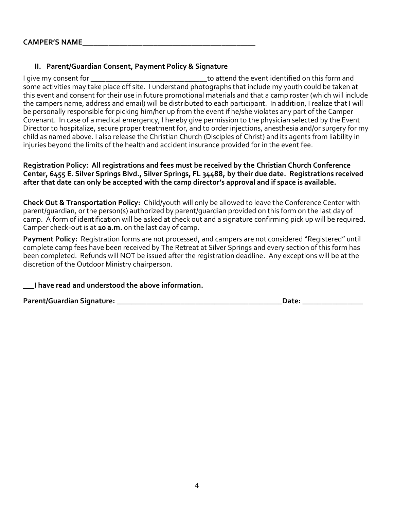## **II. Parent/Guardian Consent, Payment Policy & Signature**

I give my consent for \_\_\_\_\_\_\_\_\_\_\_\_\_\_\_\_\_\_\_\_\_\_\_\_\_\_\_\_\_\_\_to attend the event identified on this form and some activities may take place off site. I understand photographs that include my youth could be taken at this event and consent for their use in future promotional materials and that a camp roster (which will include the campers name, address and email) will be distributed to each participant. In addition, I realize that I will be personally responsible for picking him/her up from the event if he/she violates any part of the Camper Covenant. In case of a medical emergency, I hereby give permission to the physician selected by the Event Director to hospitalize, secure proper treatment for, and to order injections, anesthesia and/or surgery for my child as named above. I also release the Christian Church (Disciples of Christ) and its agents from liability in injuries beyond the limits of the health and accident insurance provided for in the event fee.

#### **Registration Policy: All registrations and fees must be received by the Christian Church Conference Center, 6455 E. Silver Springs Blvd., Silver Springs, FL 34488, by their due date. Registrations received after that date can only be accepted with the camp director's approval and if space is available.**

**Check Out & Transportation Policy:** Child/youth will only be allowed to leave the Conference Center with parent/guardian, or the person(s) authorized by parent/guardian provided on this form on the last day of camp. A form of identification will be asked at check out and a signature confirming pick up will be required. Camper check-out is at **10 a.m.** on the last day of camp.

**Payment Policy:** Registration forms are not processed, and campers are not considered "Registered" until complete camp fees have been received by The Retreat at Silver Springs and every section of this form has been completed. Refunds will NOT be issued after the registration deadline. Any exceptions will be at the discretion of the Outdoor Ministry chairperson.

**\_\_\_I have read and understood the above information.**

**Parent/Guardian Signature: \_\_\_\_\_\_\_\_\_\_\_\_\_\_\_\_\_\_\_\_\_\_\_\_\_\_\_\_\_\_\_\_\_\_\_\_\_\_\_\_\_\_\_\_Date: \_\_\_\_\_\_\_\_\_\_\_\_\_\_\_\_**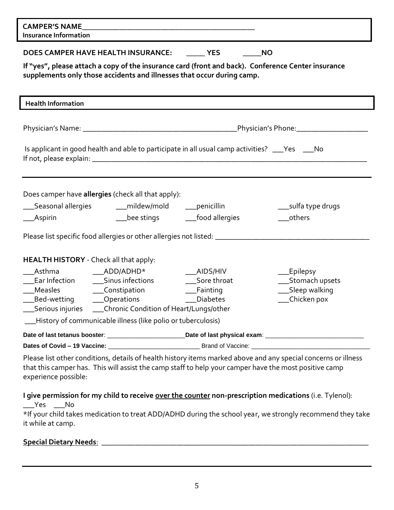| <b>CAMPER'S NAME</b><br><b>Insurance Information</b>                                                                                                                                                                                                                                                                                                                                                                                          |  |  |
|-----------------------------------------------------------------------------------------------------------------------------------------------------------------------------------------------------------------------------------------------------------------------------------------------------------------------------------------------------------------------------------------------------------------------------------------------|--|--|
| DOES CAMPER HAVE HEALTH INSURANCE: YES<br><b>NO</b><br>If "yes", please attach a copy of the insurance card (front and back). Conference Center insurance<br>supplements only those accidents and illnesses that occur during camp.                                                                                                                                                                                                           |  |  |
| <b>Health Information</b>                                                                                                                                                                                                                                                                                                                                                                                                                     |  |  |
|                                                                                                                                                                                                                                                                                                                                                                                                                                               |  |  |
| Is applicant in good health and able to participate in all usual camp activities? ___Yes ___No                                                                                                                                                                                                                                                                                                                                                |  |  |
| Does camper have allergies (check all that apply):<br>__Seasonal allergies<br>___mildew/mold<br>__penicillin<br>____sulfa type drugs<br>__food allergies<br>___bee stings<br>others<br>__Aspirin<br>Please list specific food allergies or other allergies not listed: _________________________________                                                                                                                                      |  |  |
| <b>HEALTH HISTORY</b> - Check all that apply:<br>Asthma<br>$ADD/ADHD*$<br>$\Box$ AIDS/HIV<br>Epilepsy<br>Sinus infections<br>Sore throat<br>Stomach upsets<br>Ear Infection<br>Sleep walking<br>Measles<br>__Constipation<br>_Fainting<br>Chicken pox<br>__Operations<br><b>Diabetes</b><br>_Bed-wetting<br>___Serious injuries _____Chronic Condition of Heart/Lungs/other<br>__History of communicable illness (like polio or tuberculosis) |  |  |
|                                                                                                                                                                                                                                                                                                                                                                                                                                               |  |  |
|                                                                                                                                                                                                                                                                                                                                                                                                                                               |  |  |
| Please list other conditions, details of health history items marked above and any special concerns or illness<br>that this camper has. This will assist the camp staff to help your camper have the most positive camp<br>experience possible:                                                                                                                                                                                               |  |  |
| I give permission for my child to receive over the counter non-prescription medications (i.e. Tylenol):<br>$Yes$ No<br>*If your child takes medication to treat ADD/ADHD during the school year, we strongly recommend they take<br>it while at camp.                                                                                                                                                                                         |  |  |